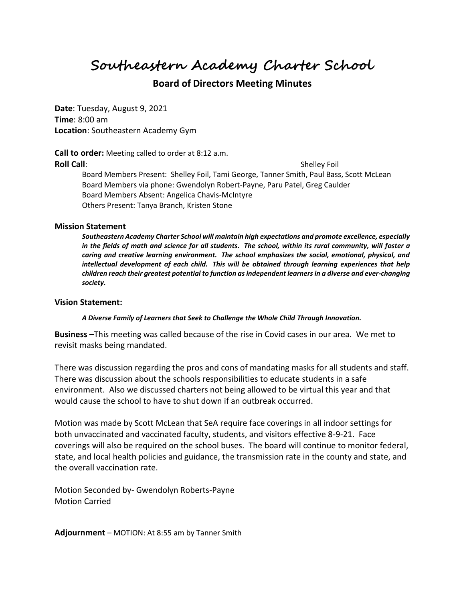**Southeastern Academy Charter School**

## **Board of Directors Meeting Minutes**

**Date**: Tuesday, August 9, 2021 **Time**: 8:00 am **Location**: Southeastern Academy Gym

**Call to order:** Meeting called to order at 8:12 a.m. **Roll Call**: Shelley Foil Board Members Present: Shelley Foil, Tami George, Tanner Smith, Paul Bass, Scott McLean Board Members via phone: Gwendolyn Robert-Payne, Paru Patel, Greg Caulder Board Members Absent: Angelica Chavis-McIntyre Others Present: Tanya Branch, Kristen Stone

## **Mission Statement**

*Southeastern Academy Charter School will maintain high expectations and promote excellence, especially in the fields of math and science for all students. The school, within its rural community, will foster a caring and creative learning environment. The school emphasizes the social, emotional, physical, and intellectual development of each child. This will be obtained through learning experiences that help children reach their greatest potential to function as independent learners in a diverse and ever-changing society.*

## **Vision Statement:**

*A Diverse Family of Learners that Seek to Challenge the Whole Child Through Innovation.*

**Business** –This meeting was called because of the rise in Covid cases in our area. We met to revisit masks being mandated.

There was discussion regarding the pros and cons of mandating masks for all students and staff. There was discussion about the schools responsibilities to educate students in a safe environment. Also we discussed charters not being allowed to be virtual this year and that would cause the school to have to shut down if an outbreak occurred.

Motion was made by Scott McLean that SeA require face coverings in all indoor settings for both unvaccinated and vaccinated faculty, students, and visitors effective 8-9-21. Face coverings will also be required on the school buses. The board will continue to monitor federal, state, and local health policies and guidance, the transmission rate in the county and state, and the overall vaccination rate.

Motion Seconded by- Gwendolyn Roberts-Payne Motion Carried

**Adjournment** – MOTION: At 8:55 am by Tanner Smith